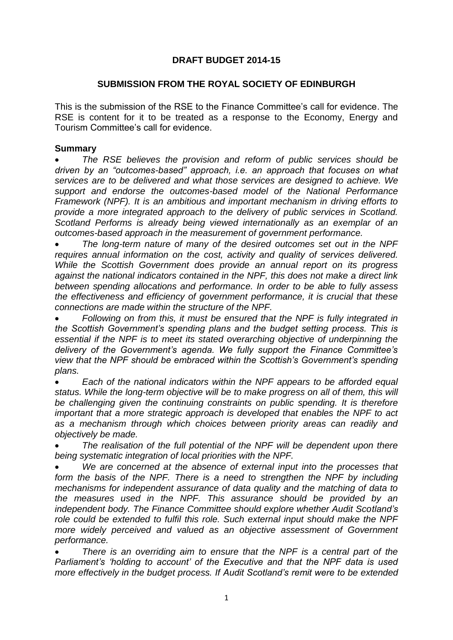## **DRAFT BUDGET 2014-15**

### **SUBMISSION FROM THE ROYAL SOCIETY OF EDINBURGH**

This is the submission of the RSE to the Finance Committee's call for evidence. The RSE is content for it to be treated as a response to the Economy, Energy and Tourism Committee's call for evidence.

#### **Summary**

 *The RSE believes the provision and reform of public services should be driven by an "outcomes-based" approach, i.e. an approach that focuses on what services are to be delivered and what those services are designed to achieve. We support and endorse the outcomes-based model of the National Performance Framework (NPF). It is an ambitious and important mechanism in driving efforts to provide a more integrated approach to the delivery of public services in Scotland. Scotland Performs is already being viewed internationally as an exemplar of an outcomes-based approach in the measurement of government performance.*

 *The long-term nature of many of the desired outcomes set out in the NPF requires annual information on the cost, activity and quality of services delivered. While the Scottish Government does provide an annual report on its progress against the national indicators contained in the NPF, this does not make a direct link between spending allocations and performance. In order to be able to fully assess the effectiveness and efficiency of government performance, it is crucial that these connections are made within the structure of the NPF.*

 *Following on from this, it must be ensured that the NPF is fully integrated in the Scottish Government's spending plans and the budget setting process. This is essential if the NPF is to meet its stated overarching objective of underpinning the delivery of the Government's agenda. We fully support the Finance Committee's view that the NPF should be embraced within the Scottish's Government's spending plans.*

 *Each of the national indicators within the NPF appears to be afforded equal status. While the long-term objective will be to make progress on all of them, this will be challenging given the continuing constraints on public spending. It is therefore important that a more strategic approach is developed that enables the NPF to act as a mechanism through which choices between priority areas can readily and objectively be made.* 

 *The realisation of the full potential of the NPF will be dependent upon there being systematic integration of local priorities with the NPF.* 

 *We are concerned at the absence of external input into the processes that form the basis of the NPF. There is a need to strengthen the NPF by including mechanisms for independent assurance of data quality and the matching of data to the measures used in the NPF. This assurance should be provided by an independent body. The Finance Committee should explore whether Audit Scotland's role could be extended to fulfil this role. Such external input should make the NPF more widely perceived and valued as an objective assessment of Government performance.*

 *There is an overriding aim to ensure that the NPF is a central part of the Parliament's 'holding to account' of the Executive and that the NPF data is used more effectively in the budget process. If Audit Scotland's remit were to be extended*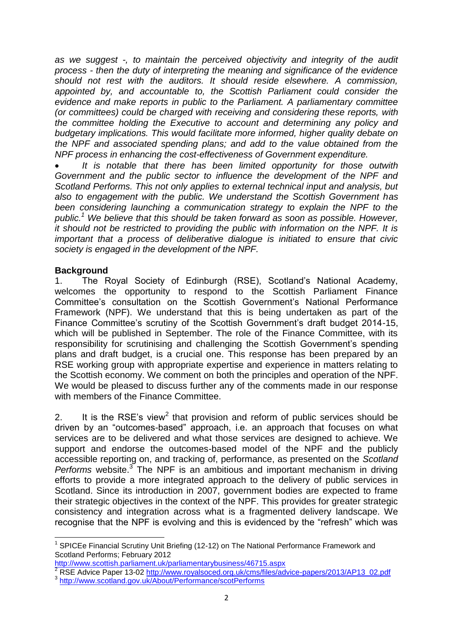*as we suggest -, to maintain the perceived objectivity and integrity of the audit process - then the duty of interpreting the meaning and significance of the evidence should not rest with the auditors. It should reside elsewhere. A commission, appointed by, and accountable to, the Scottish Parliament could consider the evidence and make reports in public to the Parliament. A parliamentary committee (or committees) could be charged with receiving and considering these reports, with the committee holding the Executive to account and determining any policy and budgetary implications. This would facilitate more informed, higher quality debate on the NPF and associated spending plans; and add to the value obtained from the NPF process in enhancing the cost-effectiveness of Government expenditure.* 

 *It is notable that there has been limited opportunity for those outwith Government and the public sector to influence the development of the NPF and Scotland Performs. This not only applies to external technical input and analysis, but also to engagement with the public. We understand the Scottish Government has*  been considering launching a communication strategy to explain the NPF to the *public.<sup>1</sup> We believe that this should be taken forward as soon as possible. However, it should not be restricted to providing the public with information on the NPF. It is important that a process of deliberative dialogue is initiated to ensure that civic society is engaged in the development of the NPF.*

### **Background**

1. The Royal Society of Edinburgh (RSE), Scotland's National Academy, welcomes the opportunity to respond to the Scottish Parliament Finance Committee's consultation on the Scottish Government's National Performance Framework (NPF). We understand that this is being undertaken as part of the Finance Committee's scrutiny of the Scottish Government's draft budget 2014-15, which will be published in September. The role of the Finance Committee, with its responsibility for scrutinising and challenging the Scottish Government's spending plans and draft budget, is a crucial one. This response has been prepared by an RSE working group with appropriate expertise and experience in matters relating to the Scottish economy. We comment on both the principles and operation of the NPF. We would be pleased to discuss further any of the comments made in our response with members of the Finance Committee.

2. It is the RSE's view<sup>2</sup> that provision and reform of public services should be driven by an "outcomes-based" approach, i.e. an approach that focuses on what services are to be delivered and what those services are designed to achieve. We support and endorse the outcomes-based model of the NPF and the publicly accessible reporting on, and tracking of, performance, as presented on the *Scotland*  Performs website.<sup>3</sup> The NPF is an ambitious and important mechanism in driving efforts to provide a more integrated approach to the delivery of public services in Scotland. Since its introduction in 2007, government bodies are expected to frame their strategic objectives in the context of the NPF. This provides for greater strategic consistency and integration across what is a fragmented delivery landscape. We recognise that the NPF is evolving and this is evidenced by the "refresh" which was

\_\_\_\_\_\_\_\_\_\_\_\_\_\_\_\_\_\_\_\_\_\_\_\_\_\_\_\_\_\_\_\_\_\_\_\_<br><sup>1</sup> SPICEe Financial Scrutiny Unit Briefing (12-12) on The National Performance Framework and Scotland Performs; February 2012

<http://www.scottish.parliament.uk/parliamentarybusiness/46715.aspx>

<sup>2</sup> RSE Advice Paper 13-02 [http://www.royalsoced.org.uk/cms/files/advice-papers/2013/AP13\\_02.pdf](http://www.royalsoced.org.uk/cms/files/advice-papers/2013/AP13_02.pdf) 3 <http://www.scotland.gov.uk/About/Performance/scotPerforms>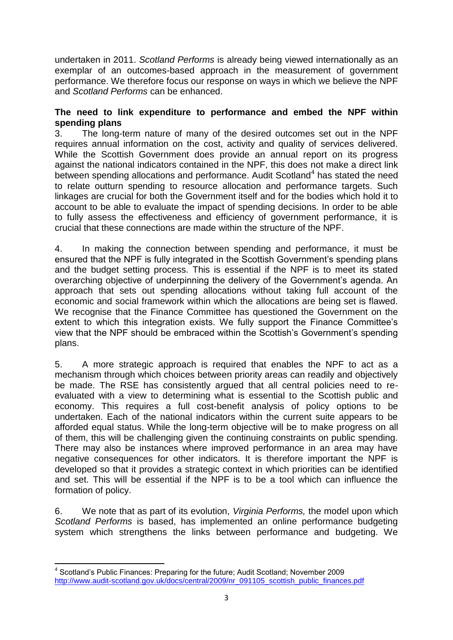undertaken in 2011. *Scotland Performs* is already being viewed internationally as an exemplar of an outcomes-based approach in the measurement of government performance. We therefore focus our response on ways in which we believe the NPF and *Scotland Performs* can be enhanced.

### **The need to link expenditure to performance and embed the NPF within spending plans**

3. The long-term nature of many of the desired outcomes set out in the NPF requires annual information on the cost, activity and quality of services delivered. While the Scottish Government does provide an annual report on its progress against the national indicators contained in the NPF, this does not make a direct link between spending allocations and performance. Audit Scotland<sup>4</sup> has stated the need to relate outturn spending to resource allocation and performance targets. Such linkages are crucial for both the Government itself and for the bodies which hold it to account to be able to evaluate the impact of spending decisions. In order to be able to fully assess the effectiveness and efficiency of government performance, it is crucial that these connections are made within the structure of the NPF.

4. In making the connection between spending and performance, it must be ensured that the NPF is fully integrated in the Scottish Government's spending plans and the budget setting process. This is essential if the NPF is to meet its stated overarching objective of underpinning the delivery of the Government's agenda. An approach that sets out spending allocations without taking full account of the economic and social framework within which the allocations are being set is flawed. We recognise that the Finance Committee has questioned the Government on the extent to which this integration exists. We fully support the Finance Committee's view that the NPF should be embraced within the Scottish's Government's spending plans.

5. A more strategic approach is required that enables the NPF to act as a mechanism through which choices between priority areas can readily and objectively be made. The RSE has consistently argued that all central policies need to reevaluated with a view to determining what is essential to the Scottish public and economy. This requires a full cost-benefit analysis of policy options to be undertaken. Each of the national indicators within the current suite appears to be afforded equal status. While the long-term objective will be to make progress on all of them, this will be challenging given the continuing constraints on public spending. There may also be instances where improved performance in an area may have negative consequences for other indicators. It is therefore important the NPF is developed so that it provides a strategic context in which priorities can be identified and set. This will be essential if the NPF is to be a tool which can influence the formation of policy.

6. We note that as part of its evolution, *Virginia Performs,* the model upon which *Scotland Performs* is based, has implemented an online performance budgeting system which strengthens the links between performance and budgeting. We

 4 Scotland's Public Finances: Preparing for the future; Audit Scotland; November 2009 [http://www.audit-scotland.gov.uk/docs/central/2009/nr\\_091105\\_scottish\\_public\\_finances.pdf](http://www.audit-scotland.gov.uk/docs/central/2009/nr_091105_scottish_public_finances.pdf)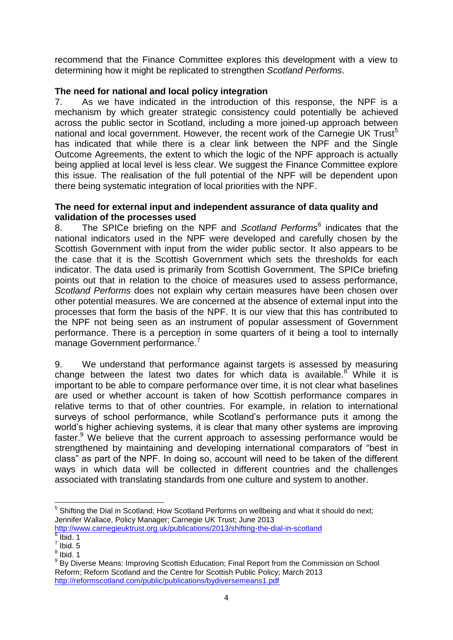recommend that the Finance Committee explores this development with a view to determining how it might be replicated to strengthen *Scotland Performs*.

## **The need for national and local policy integration**

7. As we have indicated in the introduction of this response, the NPF is a mechanism by which greater strategic consistency could potentially be achieved across the public sector in Scotland, including a more joined-up approach between national and local government. However, the recent work of the Carnegie UK Trust $5$ has indicated that while there is a clear link between the NPF and the Single Outcome Agreements, the extent to which the logic of the NPF approach is actually being applied at local level is less clear. We suggest the Finance Committee explore this issue. The realisation of the full potential of the NPF will be dependent upon there being systematic integration of local priorities with the NPF.

### **The need for external input and independent assurance of data quality and validation of the processes used**

8. The SPICe briefing on the NPF and *Scotland Performs*<sup>6</sup> indicates that the national indicators used in the NPF were developed and carefully chosen by the Scottish Government with input from the wider public sector. It also appears to be the case that it is the Scottish Government which sets the thresholds for each indicator. The data used is primarily from Scottish Government. The SPICe briefing points out that in relation to the choice of measures used to assess performance, *Scotland Performs* does not explain why certain measures have been chosen over other potential measures. We are concerned at the absence of external input into the processes that form the basis of the NPF. It is our view that this has contributed to the NPF not being seen as an instrument of popular assessment of Government performance. There is a perception in some quarters of it being a tool to internally manage Government performance.<sup>7</sup>

9. We understand that performance against targets is assessed by measuring change between the latest two dates for which data is available.<sup>8</sup> While it is important to be able to compare performance over time, it is not clear what baselines are used or whether account is taken of how Scottish performance compares in relative terms to that of other countries. For example, in relation to international surveys of school performance, while Scotland's performance puts it among the world's higher achieving systems, it is clear that many other systems are improving faster.<sup>9</sup> We believe that the current approach to assessing performance would be strengthened by maintaining and developing international comparators of "best in class" as part of the NPF. In doing so, account will need to be taken of the different ways in which data will be collected in different countries and the challenges associated with translating standards from one culture and system to another.

 $\overline{a}$  $5$  Shifting the Dial in Scotland; How Scotland Performs on wellbeing and what it should do next; Jennifer Wallace, Policy Manager; Carnegie UK Trust; June 2013 <http://www.carnegieuktrust.org.uk/publications/2013/shifting-the-dial-in-scotland>

 $6$  Ibid. 1

 $<sup>7</sup>$  Ibid. 5</sup>

 $<sup>8</sup>$  Ibid. 1</sup>

<sup>&</sup>lt;sup>9</sup> By Diverse Means: Improving Scottish Education; Final Report from the Commission on School Reform; Reform Scotland and the Centre for Scottish Public Policy; March 2013 <http://reformscotland.com/public/publications/bydiversemeans1.pdf>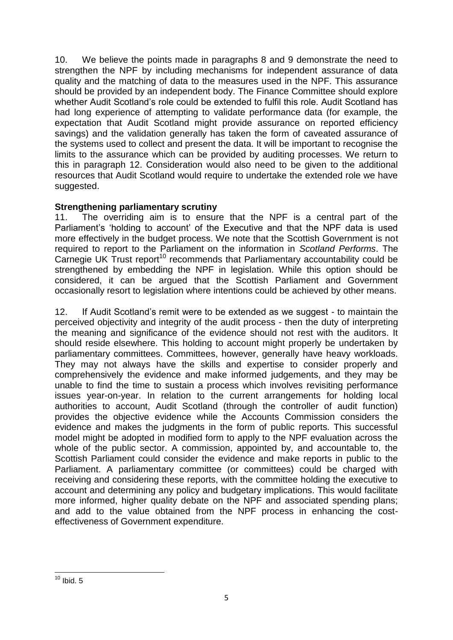10. We believe the points made in paragraphs 8 and 9 demonstrate the need to strengthen the NPF by including mechanisms for independent assurance of data quality and the matching of data to the measures used in the NPF. This assurance should be provided by an independent body. The Finance Committee should explore whether Audit Scotland's role could be extended to fulfil this role. Audit Scotland has had long experience of attempting to validate performance data (for example, the expectation that Audit Scotland might provide assurance on reported efficiency savings) and the validation generally has taken the form of caveated assurance of the systems used to collect and present the data. It will be important to recognise the limits to the assurance which can be provided by auditing processes. We return to this in paragraph 12. Consideration would also need to be given to the additional resources that Audit Scotland would require to undertake the extended role we have suggested.

### **Strengthening parliamentary scrutiny**

11. The overriding aim is to ensure that the NPF is a central part of the Parliament's 'holding to account' of the Executive and that the NPF data is used more effectively in the budget process. We note that the Scottish Government is not required to report to the Parliament on the information in *Scotland Performs*. The Carnegie UK Trust report<sup>10</sup> recommends that Parliamentary accountability could be strengthened by embedding the NPF in legislation. While this option should be considered, it can be argued that the Scottish Parliament and Government occasionally resort to legislation where intentions could be achieved by other means.

12. If Audit Scotland's remit were to be extended as we suggest - to maintain the perceived objectivity and integrity of the audit process - then the duty of interpreting the meaning and significance of the evidence should not rest with the auditors. It should reside elsewhere. This holding to account might properly be undertaken by parliamentary committees. Committees, however, generally have heavy workloads. They may not always have the skills and expertise to consider properly and comprehensively the evidence and make informed judgements, and they may be unable to find the time to sustain a process which involves revisiting performance issues year-on-year. In relation to the current arrangements for holding local authorities to account, Audit Scotland (through the controller of audit function) provides the objective evidence while the Accounts Commission considers the evidence and makes the judgments in the form of public reports. This successful model might be adopted in modified form to apply to the NPF evaluation across the whole of the public sector. A commission, appointed by, and accountable to, the Scottish Parliament could consider the evidence and make reports in public to the Parliament. A parliamentary committee (or committees) could be charged with receiving and considering these reports, with the committee holding the executive to account and determining any policy and budgetary implications. This would facilitate more informed, higher quality debate on the NPF and associated spending plans; and add to the value obtained from the NPF process in enhancing the costeffectiveness of Government expenditure.

**<sup>.</sup>**  $10$  Ibid. 5